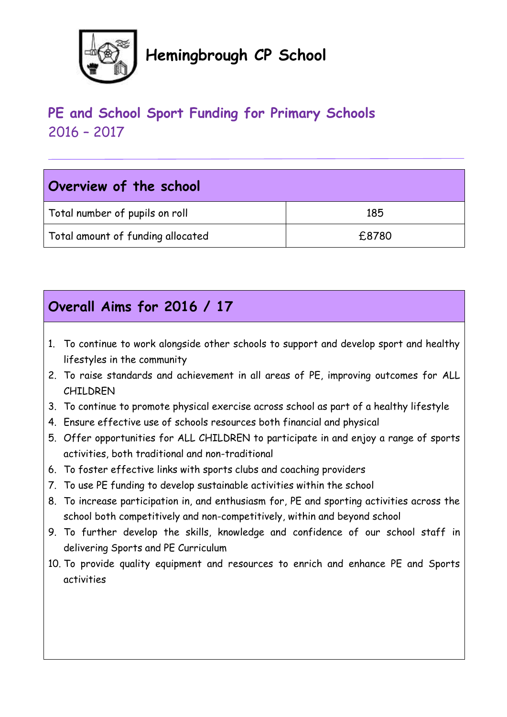

# **Hemingbrough CP School**

# **PE and School Sport Funding for Primary Schools** 2016 – 2017

| Overview of the school            |       |
|-----------------------------------|-------|
| Total number of pupils on roll    | 185   |
| Total amount of funding allocated | £8780 |

# **Overall Aims for 2016 / 17**

- 1. To continue to work alongside other schools to support and develop sport and healthy lifestyles in the community
- 2. To raise standards and achievement in all areas of PE, improving outcomes for ALL CHILDREN
- 3. To continue to promote physical exercise across school as part of a healthy lifestyle
- 4. Ensure effective use of schools resources both financial and physical
- 5. Offer opportunities for ALL CHILDREN to participate in and enjoy a range of sports activities, both traditional and non-traditional
- 6. To foster effective links with sports clubs and coaching providers
- 7. To use PE funding to develop sustainable activities within the school
- 8. To increase participation in, and enthusiasm for, PE and sporting activities across the school both competitively and non-competitively, within and beyond school
- 9. To further develop the skills, knowledge and confidence of our school staff in delivering Sports and PE Curriculum
- 10. To provide quality equipment and resources to enrich and enhance PE and Sports activities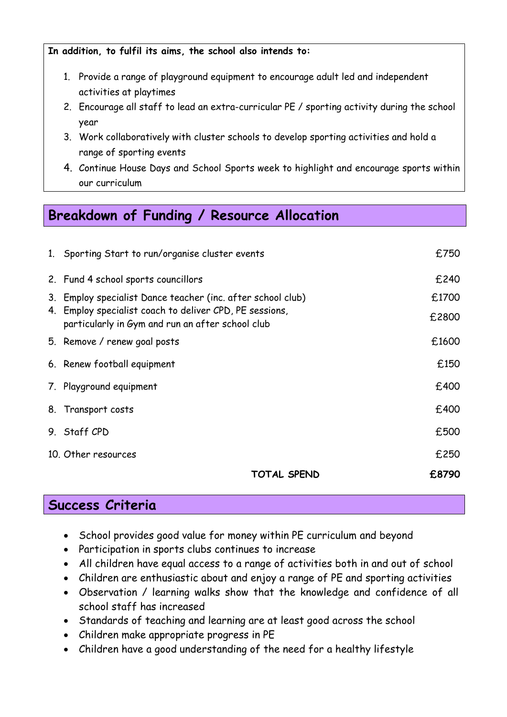**In addition, to fulfil its aims, the school also intends to:**

- 1. Provide a range of playground equipment to encourage adult led and independent activities at playtimes
- 2. Encourage all staff to lead an extra-curricular PE / sporting activity during the school year
- 3. Work collaboratively with cluster schools to develop sporting activities and hold a range of sporting events
- 4. Continue House Days and School Sports week to highlight and encourage sports within our curriculum

### **Breakdown of Funding / Resource Allocation**

| 1. Sporting Start to run/organise cluster events                                                            | £750  |
|-------------------------------------------------------------------------------------------------------------|-------|
| 2. Fund 4 school sports councillors                                                                         | £240  |
| 3. Employ specialist Dance teacher (inc. after school club)                                                 | £1700 |
| 4. Employ specialist coach to deliver CPD, PE sessions,<br>particularly in Gym and run an after school club | £2800 |
| 5. Remove / renew goal posts                                                                                | £1600 |
| 6. Renew football equipment                                                                                 | £150  |
| 7. Playground equipment                                                                                     | £400  |
| 8. Transport costs                                                                                          | £400  |
| 9. Staff CPD                                                                                                | £500  |
| 10. Other resources                                                                                         | £250  |
| TOTAL SPEND                                                                                                 | £8790 |

### **Success Criteria**

- School provides good value for money within PE curriculum and beyond
- Participation in sports clubs continues to increase
- All children have equal access to a range of activities both in and out of school
- Children are enthusiastic about and enjoy a range of PE and sporting activities
- Observation / learning walks show that the knowledge and confidence of all school staff has increased
- Standards of teaching and learning are at least good across the school
- Children make appropriate progress in PE
- Children have a good understanding of the need for a healthy lifestyle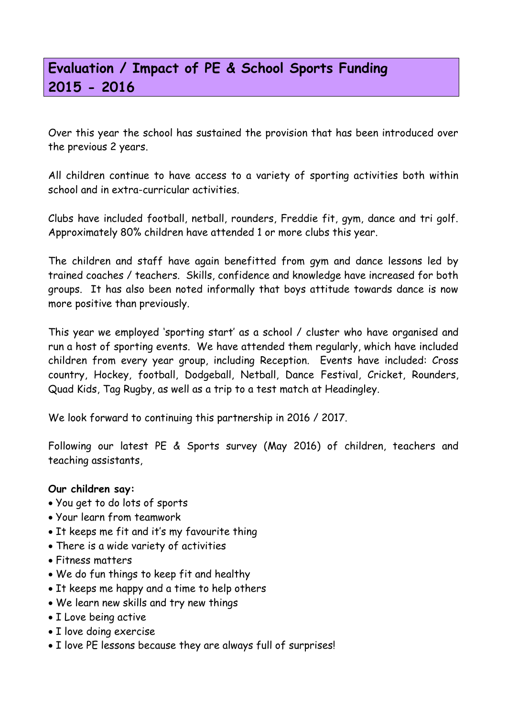# **Evaluation / Impact of PE & School Sports Funding 2015 - 2016**

Over this year the school has sustained the provision that has been introduced over the previous 2 years.

All children continue to have access to a variety of sporting activities both within school and in extra-curricular activities.

Clubs have included football, netball, rounders, Freddie fit, gym, dance and tri golf. Approximately 80% children have attended 1 or more clubs this year.

The children and staff have again benefitted from gym and dance lessons led by trained coaches / teachers. Skills, confidence and knowledge have increased for both groups. It has also been noted informally that boys attitude towards dance is now more positive than previously.

This year we employed 'sporting start' as a school / cluster who have organised and run a host of sporting events. We have attended them regularly, which have included children from every year group, including Reception. Events have included: Cross country, Hockey, football, Dodgeball, Netball, Dance Festival, Cricket, Rounders, Quad Kids, Tag Rugby, as well as a trip to a test match at Headingley.

We look forward to continuing this partnership in 2016 / 2017.

Following our latest PE & Sports survey (May 2016) of children, teachers and teaching assistants,

#### **Our children say:**

- You get to do lots of sports
- Your learn from teamwork
- It keeps me fit and it's my favourite thing
- There is a wide variety of activities
- Fitness matters
- We do fun things to keep fit and healthy
- It keeps me happy and a time to help others
- We learn new skills and try new things
- I Love being active
- I love doing exercise
- I love PE lessons because they are always full of surprises!